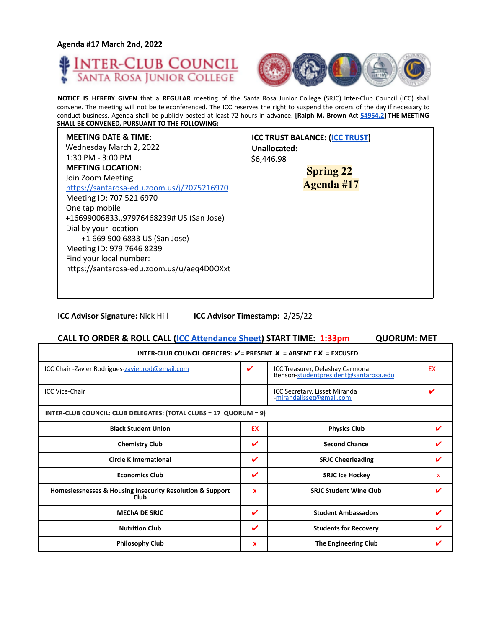**Agenda #17 March 2nd, 2022**





**NOTICE IS HEREBY GIVEN** that a **REGULAR** meeting of the Santa Rosa Junior College (SRJC) Inter-Club Council (ICC) shall convene. The meeting will not be teleconferenced. The ICC reserves the right to suspend the orders of the day if necessary to conduct business. Agenda shall be publicly posted at least 72 hours in advance. **[Ralph M. Brown Act 54954.2] THE MEETING SHALL BE CONVENED, PURSUANT TO THE FOLLOWING:**

**ICC Advisor Signature:** Nick Hill **ICC Advisor Timestamp:** 2/25/22

| CALL TO ORDER & ROLL CALL (ICC Attendance Sheet) START TIME: 1:33pm<br><b>QUORUM: MET</b> |                           |                                                                          |              |  |
|-------------------------------------------------------------------------------------------|---------------------------|--------------------------------------------------------------------------|--------------|--|
| INTER-CLUB COUNCIL OFFICERS: $V =$ PRESENT $X =$ ABSENT E $X =$ EXCUSED                   |                           |                                                                          |              |  |
| ICC Chair - Zavier Rodrigues-zavier.rod@gmail.com                                         | V                         | ICC Treasurer, Delashay Carmona<br>Benson-studentpresident@santarosa.edu | EX           |  |
| <b>ICC Vice-Chair</b>                                                                     |                           | ICC Secretary, Lisset Miranda<br>-mirandalisset@gmail.com                |              |  |
| INTER-CLUB COUNCIL: CLUB DELEGATES: (TOTAL CLUBS = 17 QUORUM = 9)                         |                           |                                                                          |              |  |
| <b>Black Student Union</b>                                                                | <b>EX</b>                 | <b>Physics Club</b>                                                      | ✓            |  |
| <b>Chemistry Club</b>                                                                     | V                         | <b>Second Chance</b>                                                     |              |  |
| <b>Circle K International</b>                                                             | V                         | <b>SRJC Cheerleading</b>                                                 | ✓            |  |
| <b>Economics Club</b>                                                                     | V                         | <b>SRJC Ice Hockey</b>                                                   | $\mathbf{x}$ |  |
| Homeslessnesses & Housing Insecurity Resolution & Support<br>Club                         | $\mathbf{x}$              | <b>SRIC Student Wine Club</b>                                            | ✔            |  |
| <b>MECHA DE SRJC</b>                                                                      | V                         | <b>Student Ambassadors</b>                                               |              |  |
| <b>Nutrition Club</b>                                                                     | V                         | <b>Students for Recovery</b>                                             |              |  |
| <b>Philosophy Club</b>                                                                    | $\boldsymbol{\mathsf{x}}$ | The Engineering Club                                                     |              |  |
|                                                                                           |                           |                                                                          |              |  |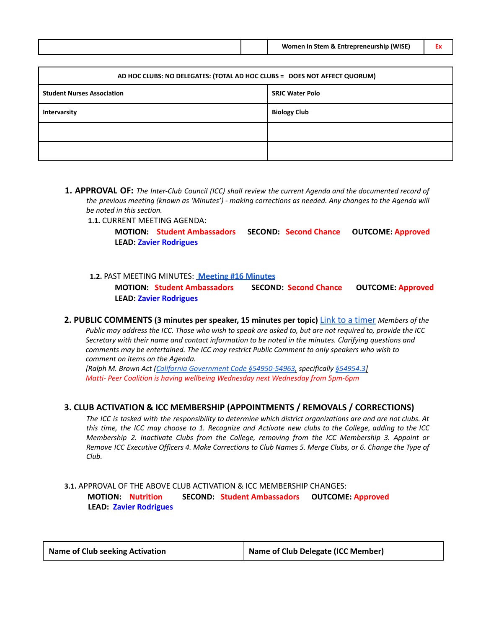|  | Women in Stem & Entrepreneurship (WISE) |  |
|--|-----------------------------------------|--|
|  |                                         |  |

| AD HOC CLUBS: NO DELEGATES: (TOTAL AD HOC CLUBS = DOES NOT AFFECT QUORUM) |                        |  |
|---------------------------------------------------------------------------|------------------------|--|
| <b>Student Nurses Association</b>                                         | <b>SRJC Water Polo</b> |  |
| Intervarsity                                                              | <b>Biology Club</b>    |  |
|                                                                           |                        |  |
|                                                                           |                        |  |

**1. APPROVAL OF:** *The Inter-Club Council (ICC) shall review the current Agenda and the documented record of the previous meeting (known as 'Minutes') - making corrections as needed. Any changes to the Agenda will be noted in this section.*

**1.1.** CURRENT MEETING AGENDA:

**MOTION: Student Ambassadors SECOND: Second Chance OUTCOME: Approved LEAD: Zavier Rodrigues**

**1.2.** PAST MEETING MINUTES: **[Meeting](https://docs.google.com/document/d/1ygEV59zSO88Cnd2mpQhM0RT9Ohs4kNMdtPzlDiB7sJk/edit?usp=sharing) #16 Minutes MOTION: Student Ambassadors SECOND: Second Chance OUTCOME: Approved LEAD: Zavier Rodrigues**

#### **2. PUBLIC COMMENTS (3 minutes per speaker, 15 minutes per topic)** Link to a timer *Members of the* Public may address the ICC. Those who wish to speak are asked to, but are not required to, provide the ICC *Secretary with their name and contact information to be noted in the minutes. Clarifying questions and comments may be entertained. The ICC may restrict Public Comment to only speakers who wish to comment on items on the Agenda.*

*[Ralph M. Brown Act (California Government Code §54950-54963, specifically §54954.3] Matti- Peer Coalition is having wellbeing Wednesday next Wednesday from 5pm-6pm*

## **3. CLUB ACTIVATION & ICC MEMBERSHIP (APPOINTMENTS / REMOVALS / CORRECTIONS)**

The ICC is tasked with the responsibility to determine which district organizations are and are not clubs. At this time, the ICC may choose to 1. Recognize and Activate new clubs to the College, adding to the ICC *Membership 2. Inactivate Clubs from the College, removing from the ICC Membership 3. Appoint or* Remove ICC Executive Officers 4. Make Corrections to Club Names 5. Merge Clubs, or 6. Change the Type of *Club.*

## **3.1.** APPROVAL OF THE ABOVE CLUB ACTIVATION & ICC MEMBERSHIP CHANGES: **MOTION: Nutrition SECOND: Student Ambassadors OUTCOME: Approved LEAD: Zavier Rodrigues**

| <b>Name of Club seeking Activation</b> | Name of Club Delegate (ICC Member) |
|----------------------------------------|------------------------------------|
|----------------------------------------|------------------------------------|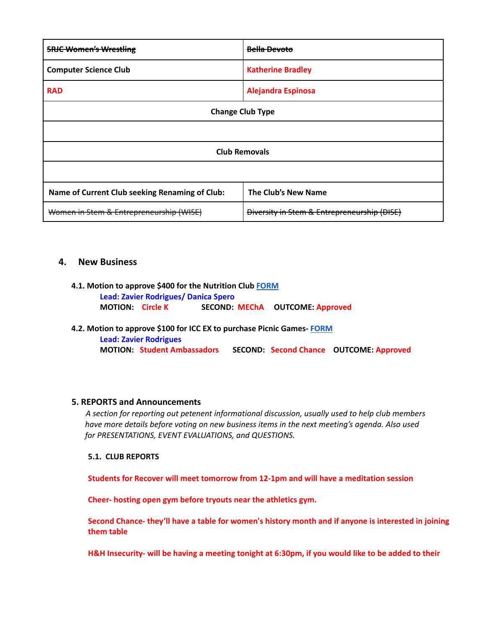| <b>SRJC Women's Wrestling</b>                  | Bella Devoto                                           |  |
|------------------------------------------------|--------------------------------------------------------|--|
| <b>Computer Science Club</b>                   | <b>Katherine Bradley</b>                               |  |
| <b>RAD</b>                                     | <b>Alejandra Espinosa</b>                              |  |
| <b>Change Club Type</b>                        |                                                        |  |
|                                                |                                                        |  |
| <b>Club Removals</b>                           |                                                        |  |
|                                                |                                                        |  |
| Name of Current Club seeking Renaming of Club: | The Club's New Name                                    |  |
| Women in Stem & Entrepreneurship (WISE)        | <b>Diversity in Stem &amp; Entrepreneurship (DISE)</b> |  |

# **4. New Business**

- **4.1. Motion to approve \$400 for the Nutrition Club [FORM](https://drive.google.com/file/d/1LplOPXu1w5YV08wUashAWZjJ8bvJOmpa/view?usp=sharing) Lead: Zavier Rodrigues/ Danica Spero MOTION: Circle K SECOND: MEChA OUTCOME: Approved**
- **4.2. Motion to approve \$100 for ICC EX to purchase Picnic Games- [FORM](https://studentlife.santarosa.edu/sites/studentlife.santarosa.edu/files/documents/ICC%20Grant%20Application-SpringFling-Games_0.pdf) Lead: Zavier Rodrigues MOTION: Student Ambassadors SECOND: Second Chance OUTCOME: Approved**

## **5. REPORTS and Announcements**

*A section for reporting out petenent informational discussion, usually used to help club members have more details before voting on new business items in the next meeting's agenda. Also used for PRESENTATIONS, EVENT EVALUATIONS, and QUESTIONS.*

## **5.1. CLUB REPORTS**

**Students for Recover will meet tomorrow from 12-1pm and will have a meditation session**

**Cheer- hosting open gym before tryouts near the athletics gym.**

**Second Chance- they'll have a table for women's history month and if anyone is interested in joining them table**

H&H Insecurity- will be having a meeting tonight at 6:30pm, if you would like to be added to their